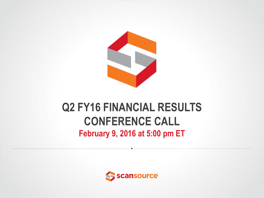

#### **Q2 FY16 FINANCIAL RESULTS CONFERENCE CALL February 9, 2016 at 5:00 pm ET**

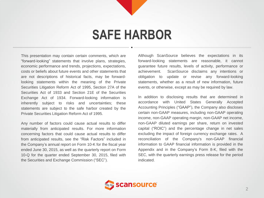## **SAFE HARBOR**

This presentation may contain certain comments, which are "forward-looking" statements that involve plans, strategies, economic performance and trends, projections, expectations, costs or beliefs about future events and other statements that are not descriptions of historical facts, may be forwardlooking statements within the meaning of the Private Securities Litigation Reform Act of 1995, Section 27A of the Securities Act of 1933 and Section 21E of the Securities Exchange Act of 1934. Forward-looking information is inherently subject to risks and uncertainties; these statements are subject to the safe harbor created by the Private Securities Litigation Reform Act of 1995.

Any number of factors could cause actual results to differ materially from anticipated results. For more information concerning factors that could cause actual results to differ from anticipated results, see the "Risk Factors" included in the Company's annual report on Form 10-K for the fiscal year ended June 30, 2015, as well as the quarterly report on Form 10-Q for the quarter ended September 30, 2015, filed with the Securities and Exchange Commission ("SEC").

Although ScanSource believes the expectations in its forward-looking statements are reasonable, it cannot guarantee future results, levels of activity, performance or achievement. ScanSource disclaims any intentions or obligation to update or revise any forward-looking statements, whether as a result of new information, future events, or otherwise, except as may be required by law.

In addition to disclosing results that are determined in accordance with United States Generally Accepted Accounting Principles ("GAAP"), the Company also discloses certain non-GAAP measures, including non-GAAP operating income, non-GAAP operating margin, non-GAAP net income, non-GAAP diluted earnings per share, return on invested capital ("ROIC") and the percentage change in net sales excluding the impact of foreign currency exchange rates. A reconciliation of the Company's non-GAAP financial information to GAAP financial information is provided in the Appendix and in the Company's Form 8-K, filed with the SEC, with the quarterly earnings press release for the period indicated.

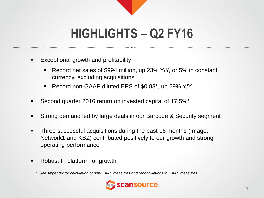# **HIGHLIGHTS – Q2 FY16**

- Exceptional growth and profitability
	- Record net sales of \$994 million, up 23% Y/Y, or 5% in constant currency, excluding acquisitions
	- Record non-GAAP diluted EPS of \$0.88<sup>\*</sup>, up 29% Y/Y
- Second quarter 2016 return on invested capital of 17.5%\*
- Strong demand led by large deals in our Barcode & Security segment
- Three successful acquisitions during the past 16 months (Imago, Network1 and KBZ) contributed positively to our growth and strong operating performance
- Robust IT platform for growth

*\* See Appendix for calculation of non-GAAP measures and reconciliations to GAAP measures.*

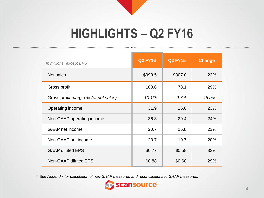## **HIGHLIGHTS – Q2 FY16**

| In millions, except EPS              | <b>Q2 FY16</b> | <b>Q2 FY15</b> | <b>Change</b> |
|--------------------------------------|----------------|----------------|---------------|
| Net sales                            | \$993.5        | \$807.0        | 23%           |
| Gross profit                         | 100.6          | 78.1           | 29%           |
| Gross profit margin % (of net sales) | 10.1%          | 9.7%           | 45 bps        |
| Operating income                     | 31.9           | 26.0           | 23%           |
| Non-GAAP operating income            | 36.3           | 29.4           | 24%           |
| <b>GAAP</b> net income               | 20.7           | 16.8           | 23%           |
| Non-GAAP net income                  | 23.7           | 19.7           | 20%           |
| <b>GAAP diluted EPS</b>              | \$0.77         | \$0.58         | 33%           |
| Non-GAAP diluted EPS                 | \$0.88         | \$0.68         | 29%           |

*\* See Appendix for calculation of non-GAAP measures and reconciliations to GAAP measures.*

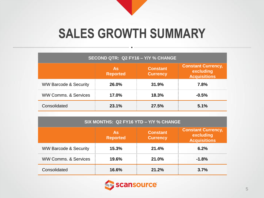# **SALES GROWTH SUMMARY**

| SECOND QTR: Q2 FY16 - Y/Y % CHANGE |                                                                    |       |         |  |  |  |  |  |
|------------------------------------|--------------------------------------------------------------------|-------|---------|--|--|--|--|--|
|                                    | <b>Constant</b><br><b>As</b><br><b>Reported</b><br><b>Currency</b> |       |         |  |  |  |  |  |
| <b>WW Barcode &amp; Security</b>   | 26.0%                                                              | 31.9% | 7.8%    |  |  |  |  |  |
| <b>WW Comms, &amp; Services</b>    | 17.0%                                                              | 18.3% | $-0.5%$ |  |  |  |  |  |
| Consolidated                       | 23.1%                                                              | 27.5% | 5.1%    |  |  |  |  |  |

| SIX MONTHS: Q2 FY16 YTD - Y/Y % CHANGE |                              |                                    |                                                               |  |  |  |  |  |  |
|----------------------------------------|------------------------------|------------------------------------|---------------------------------------------------------------|--|--|--|--|--|--|
|                                        | <b>As</b><br><b>Reported</b> | <b>Constant</b><br><b>Currency</b> | <b>Constant Currency,</b><br>excluding<br><b>Acquisitions</b> |  |  |  |  |  |  |
| <b>WW Barcode &amp; Security</b>       | 15.3%                        | 21.4%                              | 6.2%                                                          |  |  |  |  |  |  |
| <b>WW Comms, &amp; Services</b>        | 19.6%                        | 21.0%                              | $-1.8%$                                                       |  |  |  |  |  |  |
| Consolidated                           | 16.6%                        | 21.2%                              | 3.7%                                                          |  |  |  |  |  |  |

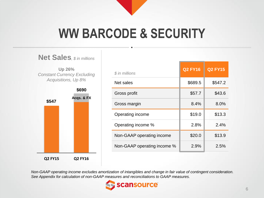## **WW BARCODE & SECURITY**



| \$ in millions              | <b>Q2 FY16</b> | <b>Q2 FY15</b> |
|-----------------------------|----------------|----------------|
| Net sales                   | \$689.5        | \$547.2        |
| Gross profit                | \$57.7         | \$43.6         |
| Gross margin                | 8.4%           | 8.0%           |
| Operating income            | \$19.0         | \$13.3         |
| Operating income %          | 2.8%           | 2.4%           |
| Non-GAAP operating income   | \$20.0         | \$13.9         |
| Non-GAAP operating income % | 2.9%           | 2.5%           |

*Non-GAAP operating income excludes amortization of intangibles and change in fair value of contingent consideration. See Appendix for calculation of non-GAAP measures and reconciliations to GAAP measures.*

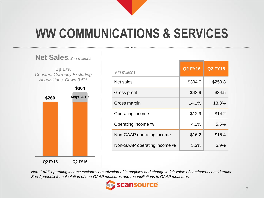# **WW COMMUNICATIONS & SERVICES**



| \$ in millions              | <b>Q2 FY16</b> | <b>Q2 FY15</b> |
|-----------------------------|----------------|----------------|
| Net sales                   | \$304.0        | \$259.8        |
| Gross profit                | \$42.9         | \$34.5         |
| Gross margin                | 14.1%          | 13.3%          |
| Operating income            | \$12.9         | \$14.2         |
| Operating income %          | 4.2%           | 5.5%           |
| Non-GAAP operating income   | \$16.2         | \$15.4         |
| Non-GAAP operating income % | 5.3%           | 5.9%           |

*Non-GAAP operating income excludes amortization of intangibles and change in fair value of contingent consideration. See Appendix for calculation of non-GAAP measures and reconciliations to GAAP measures.*

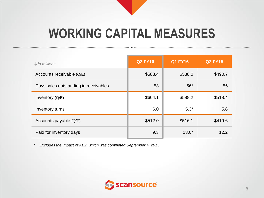## **WORKING CAPITAL MEASURES**

| \$ in millions                        | <b>Q2 FY16</b> | <b>Q1 FY16</b> | <b>Q2 FY15</b> |
|---------------------------------------|----------------|----------------|----------------|
| Accounts receivable (Q/E)             | \$588.4        | \$588.0        | \$490.7        |
| Days sales outstanding in receivables | 53             | $56*$          | 55             |
| Inventory (Q/E)                       | \$604.1        | \$588.2        | \$518.4        |
| Inventory turns                       | 6.0            | $5.3*$         | 5.8            |
| Accounts payable (Q/E)                | \$512.0        | \$516.1        | \$419.6        |
| Paid for inventory days               | 9.3            | $13.0*$        | 12.2           |

*\* Excludes the impact of KBZ, which was completed September 4, 2015*

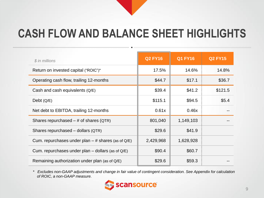## **CASH FLOW AND BALANCE SHEET HIGHLIGHTS**

| \$ in millions                                       | <b>Q2 FY16</b> | <b>Q1 FY16</b> | <b>Q2 FY15</b> |
|------------------------------------------------------|----------------|----------------|----------------|
| Return on invested capital ("ROIC")*                 | 17.5%          | 14.6%          | 14.8%          |
| Operating cash flow, trailing 12-months              | \$44.7         | \$17.1         | \$36.7         |
| Cash and cash equivalents (Q/E)                      | \$39.4         | \$41.2         | \$121.5        |
| Debt $(Q/E)$                                         | \$115.1        | \$94.5         | \$5.4          |
| Net debt to EBITDA, trailing 12-months               | 0.61x          | 0.46x          |                |
| Shares repurchased $-$ # of shares (QTR)             | 801,040        | 1,149,103      |                |
| Shares repurchased – dollars (QTR)                   | \$29.6         | \$41.9         |                |
| Cum. repurchases under plan $-$ # shares (as of Q/E) | 2,429,968      | 1,628,928      |                |
| Cum. repurchases under plan $-$ dollars (as of Q/E)  | \$90.4         | \$60.7         |                |
| Remaining authorization under plan (as of $Q/E$ )    | \$29.6         | \$59.3         |                |

*\* Excludes non-GAAP adjustments and change in fair value of contingent consideration. See Appendix for calculation of ROIC, a non-GAAP measure.*

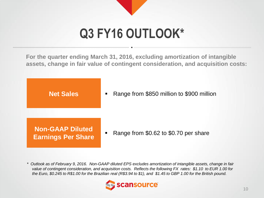# **Q3 FY16 OUTLOOK\***

**For the quarter ending March 31, 2016, excluding amortization of intangible assets, change in fair value of contingent consideration, and acquisition costs:**

**Net Sales**

Range from \$850 million to \$900 million

**Non-GAAP Diluted Earnings Per Share**

Range from \$0.62 to \$0.70 per share

*\* Outlook as of February 9, 2016. Non-GAAP diluted EPS excludes amortization of intangible assets, change in fair value of contingent consideration, and acquisition costs. Reflects the following FX rates: \$1.10 to EUR 1.00 for the Euro, \$0.245 to R\$1.00 for the Brazilian real (R\$3.94 to \$1), and \$1.45 to GBP 1.00 for the British pound.*

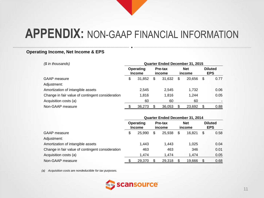#### **Operating Income, Net Income & EPS**

*(\$ in thousands)* **Quarter Ended December 31, 2015**

|                                                  |   | Operating<br><b>Income</b> |    | Pre-tax<br>income |    | <b>Net</b><br>income |    | <b>Diluted</b><br><b>EPS</b> |  |
|--------------------------------------------------|---|----------------------------|----|-------------------|----|----------------------|----|------------------------------|--|
| GAAP measure                                     | S | 31.852                     | \$ | 31,632            | \$ | 20.656               | \$ | 0.77                         |  |
| Adjustment:                                      |   |                            |    |                   |    |                      |    |                              |  |
| Amortization of intangible assets                |   | 2.545                      |    | 2.545             |    | 1.732                |    | 0.06                         |  |
| Change in fair value of contingent consideration |   | 1,816                      |    | 1,816             |    | 1.244                |    | 0.05                         |  |
| Acquisition costs (a)                            |   | 60                         |    | 60                |    | 60                   |    |                              |  |
| Non-GAAP measure                                 |   | 36,273                     |    | 36,053            |    | 23,692               |    | 0.88                         |  |

|                                                  | Quarter Ended December 31, 2014 |        |                   |        |                      |        |                              |      |  |  |
|--------------------------------------------------|---------------------------------|--------|-------------------|--------|----------------------|--------|------------------------------|------|--|--|
| <b>GAAP</b> measure                              | Operating<br><b>Income</b>      |        | Pre-tax<br>income |        | <b>Net</b><br>income |        | <b>Diluted</b><br><b>EPS</b> |      |  |  |
|                                                  | S                               | 25,990 | \$                | 25,938 | \$                   | 16.821 | \$                           | 0.58 |  |  |
| Adjustment:                                      |                                 |        |                   |        |                      |        |                              |      |  |  |
| Amortization of intangible assets                |                                 | 1,443  |                   | 1.443  |                      | 1,025  |                              | 0.04 |  |  |
| Change in fair value of contingent consideration |                                 | 463    |                   | 463    |                      | 346    |                              | 0.01 |  |  |
| Acquisition costs (a)                            |                                 | 1.474  |                   | 1.474  |                      | 1.474  |                              | 0.05 |  |  |
| Non-GAAP measure                                 |                                 | 29,370 |                   | 29,318 |                      | 19,666 | S                            | 0.68 |  |  |

*(a) Acquisition costs are nondeductible for tax purposes.*

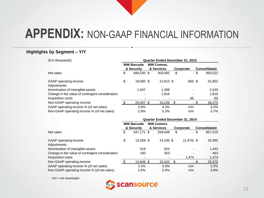#### **Highlights by Segment – Y/Y**

| (\$ in thousands)                                | <b>Quarter Ended December 31, 2015</b> |                   |  |                  |    |           |      |                     |  |
|--------------------------------------------------|----------------------------------------|-------------------|--|------------------|----|-----------|------|---------------------|--|
|                                                  |                                        | <b>WW Barcode</b> |  | <b>WW Comms.</b> |    |           |      |                     |  |
|                                                  |                                        | & Security        |  | & Services       |    | Corporate |      | <b>Consolidated</b> |  |
| Net sales                                        | \$                                     | 689,530 \$        |  | 303,992          | \$ |           | - \$ | 993,522             |  |
| GAAP operating income                            | \$                                     | 19,000 \$         |  | 12,912 \$        |    | $(60)$ \$ |      | 31,852              |  |
| Adjustments:                                     |                                        |                   |  |                  |    |           |      |                     |  |
| Amortization of intangible assets                |                                        | 1.047             |  | 1,498            |    |           |      | 2,545               |  |
| Change in fair value of contingent consideration |                                        |                   |  | 1.816            |    |           |      | 1,816               |  |
| Acquisition costs                                |                                        | ٠                 |  |                  |    | 60        |      | 60                  |  |
| Non-GAAP operating income                        |                                        | 20.047 \$         |  | 16,226           | \$ |           |      | 36,273              |  |
| GAAP operating income % (of net sales)           |                                        | 2.8%              |  | 4.2%             |    | n/m       |      | 3.2%                |  |
| Non-GAAP operating income % (of net sales)       |                                        | 2.9%              |  | 5.3%             |    | n/m       |      | 3.7%                |  |

|                                                  | Quarter Ended December 31, 2014 |                          |  |                  |    |              |      |                     |  |  |  |  |
|--------------------------------------------------|---------------------------------|--------------------------|--|------------------|----|--------------|------|---------------------|--|--|--|--|
|                                                  |                                 | <b>WW Barcode</b>        |  | <b>WW Comms.</b> |    |              |      |                     |  |  |  |  |
|                                                  |                                 | & Security               |  | & Services       |    | Corporate    |      | <b>Consolidated</b> |  |  |  |  |
| Net sales                                        | \$                              | 547.171 \$               |  | 259.848          | \$ |              | - \$ | 807,019             |  |  |  |  |
| GAAP operating income<br>Adjustments:            | \$                              | 13,269 \$                |  | 14,195 \$        |    | $(1,474)$ \$ |      | 25,990              |  |  |  |  |
|                                                  |                                 |                          |  |                  |    |              |      |                     |  |  |  |  |
| Amortization of intangible assets                |                                 | 519                      |  | 924              |    |              |      | 1,443               |  |  |  |  |
| Change in fair value of contingent consideration |                                 | 160                      |  | 303              |    |              |      | 463                 |  |  |  |  |
| Acquisition costs                                |                                 | $\overline{\phantom{0}}$ |  |                  |    | 1,474        |      | 1,474               |  |  |  |  |
| Non-GAAP operating income                        |                                 | 13,948 \$                |  | 15,422           |    | ۰            |      | 29,370              |  |  |  |  |
| GAAP operating income % (of net sales)           |                                 | 2.4%                     |  | 5.5%             |    | n/m          |      | 3.2%                |  |  |  |  |
| Non-GAAP operating income % (of net sales)       |                                 | 2.5%                     |  | 5.9%             |    | n/m          |      | 3.6%                |  |  |  |  |

*n/m = not meaningful*

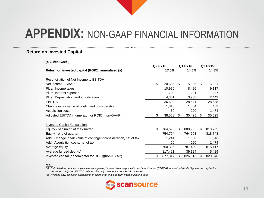#### **Return on Invested Capital**

*(\$ in thousands)*

|                                                                   | <b>Q2 FY16</b> |         | Q1 FY16       | <b>Q2 FY15</b> |         |
|-------------------------------------------------------------------|----------------|---------|---------------|----------------|---------|
| Return on invested capital (ROIC), annualized (a)                 |                | 17.5%   | 14.6%         |                | 14.8%   |
| Reconciliation of Net Income to EBITDA                            |                |         |               |                |         |
| Net income - GAAP                                                 | \$             | 20,656  | \$<br>15,996  | \$.            | 16,821  |
| Plus: Income taxes                                                |                | 10,976  | 8,426         |                | 9,117   |
| Plus: Interest expense                                            |                | 709     | 281           |                | 207     |
| Plus: Depreciation and amortization                               |                | 4,351   | 3,938         |                | 2,443   |
| <b>EBITDA</b>                                                     |                | 36,692  | 28,641        |                | 28,588  |
| Change in fair value of contingent consideration                  |                | 1,816   | 1,564         |                | 463     |
| Acquisition costs                                                 |                | 60      | 220           |                | 1,474   |
| Adjusted EBITDA (numerator for ROIC)(non-GAAP)                    | \$             | 38,568  | \$<br>30,425  | \$             | 30,525  |
| <b>Invested Capital Calculation</b>                               |                |         |               |                |         |
| Equity - beginning of the quarter                                 | \$             | 764,693 | \$<br>808,985 | \$             | 810,265 |
| Equity - end of quarter                                           |                | 754,794 | 764,693       |                | 818,748 |
| Add: Change in fair value of contingent consideration, net of tax |                | 1,244   | 1,080         |                | 346     |
| Add: Acquisition costs, net of tax                                |                | 60      | 220           |                | 1,474   |
| Average equity                                                    |                | 760,396 | 787,489       |                | 815,417 |
| Average funded debt (b)                                           |                | 117,421 | 39,124        |                | 5,429   |
| Invested capital (denominator for ROIC)(non-GAAP)                 | \$             | 877,817 | \$<br>826,613 | \$.            | 820,846 |

*Notes:*

*(a) Calculated as net income plus interest expense, income taxes, depreciation and amortization (EBITDA), annualized divided by invested capital for the period. Adjusted EBITDA reflects other adjustments for non-GAAP measures.*

*(b) Average daily amounts outstanding on short-term and long-term interest-bearing debt.*

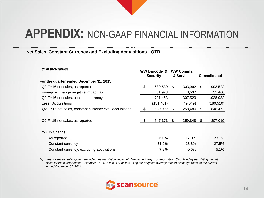#### **Net Sales, Constant Currency and Excluding Acquisitions - QTR**

| (\$ in thousands)                                       | <b>WW Barcode &amp;</b><br><b>Security</b> |           | <b>WW Comms.</b><br>& Services |          | <b>Consolidated</b> |           |
|---------------------------------------------------------|--------------------------------------------|-----------|--------------------------------|----------|---------------------|-----------|
| For the quarter ended December 31, 2015:                |                                            |           |                                |          |                     |           |
| Q2 FY16 net sales, as reported                          | \$                                         | 689,530   | \$                             | 303,992  | \$.                 | 993,522   |
| Foreign exchange negative impact (a)                    |                                            | 31,923    |                                | 3,537    |                     | 35,460    |
| Q2 FY16 net sales, constant currency                    |                                            | 721,453   |                                | 307,529  |                     | 1,028,982 |
| Less: Acquisitions                                      |                                            | (131,461) |                                | (49,049) |                     | (180,510) |
| Q2 FY16 net sales, constant currency excl. acquisitions |                                            | 589,992   | S                              | 258,480  | \$                  | 848,472   |
| Q2 FY15 net sales, as reported                          | -\$                                        | 547,171   | \$.                            | 259,848  | S                   | 807,019   |
| Y/Y % Change:                                           |                                            |           |                                |          |                     |           |
| As reported                                             |                                            | 26.0%     |                                | 17.0%    |                     | 23.1%     |
| Constant currency                                       |                                            | 31.9%     |                                | 18.3%    |                     | 27.5%     |
| Constant currency, excluding acquisitions               |                                            | 7.8%      |                                | $-0.5%$  |                     | 5.1%      |

*(a) Year-over-year sales growth excluding the translation impact of changes in foreign currency rates. Calculated by translating the net sales for the quarter ended December 31, 2015 into U.S. dollars using the weighted average foreign exchange rates for the quarter ended December 31, 2014.*